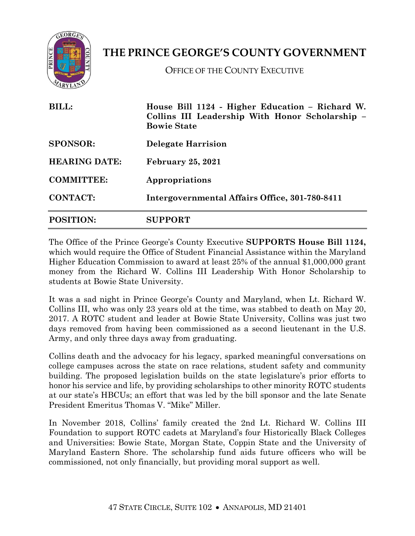

## **THE PRINCE GEORGE'S COUNTY GOVERNMENT**

OFFICE OF THE COUNTY EXECUTIVE

| <b>BILL:</b><br><b>SPONSOR:</b><br><b>HEARING DATE:</b><br><b>COMMITTEE:</b><br><b>CONTACT:</b> | House Bill 1124 - Higher Education – Richard W.<br>Collins III Leadership With Honor Scholarship -<br><b>Bowie State</b><br><b>Delegate Harrision</b><br><b>February 25, 2021</b><br>Appropriations<br>Intergovernmental Affairs Office, 301-780-8411 |                  |                |
|-------------------------------------------------------------------------------------------------|-------------------------------------------------------------------------------------------------------------------------------------------------------------------------------------------------------------------------------------------------------|------------------|----------------|
|                                                                                                 |                                                                                                                                                                                                                                                       | <b>POSITION:</b> | <b>SUPPORT</b> |

The Office of the Prince George's County Executive **SUPPORTS House Bill 1124,** which would require the Office of Student Financial Assistance within the Maryland Higher Education Commission to award at least 25% of the annual \$1,000,000 grant money from the Richard W. Collins III Leadership With Honor Scholarship to students at Bowie State University.

It was a sad night in Prince George's County and Maryland, when Lt. Richard W. Collins III, who was only 23 years old at the time, was stabbed to death on May 20, 2017. A ROTC student and leader at Bowie State University, Collins was just two days removed from having been commissioned as a second lieutenant in the U.S. Army, and only three days away from graduating.

Collins death and the advocacy for his legacy, sparked meaningful conversations on college campuses across the state on race relations, student safety and community building. The proposed legislation builds on the state legislature's prior efforts to honor his service and life, by providing scholarships to other minority ROTC students at our state's HBCUs; an effort that was led by the bill sponsor and the late Senate President Emeritus Thomas V. "Mike" Miller.

In November 2018, Collins' family created the 2nd Lt. Richard W. Collins III Foundation to support ROTC cadets at Maryland's four Historically Black Colleges and Universities: Bowie State, Morgan State, Coppin State and the University of Maryland Eastern Shore. The scholarship fund aids future officers who will be commissioned, not only financially, but providing moral support as well.